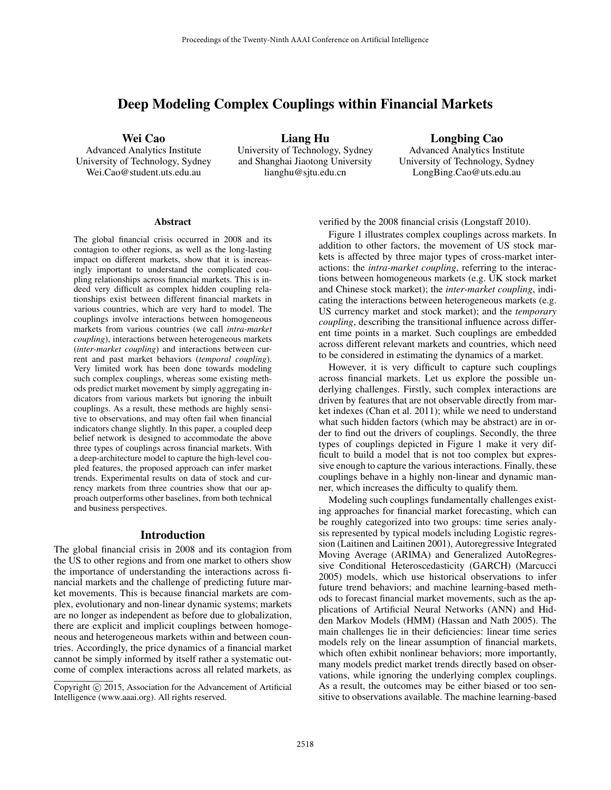# Deep Modeling Complex Couplings within Financial Markets

Wei Cao

Advanced Analytics Institute University of Technology, Sydney Wei.Cao@student.uts.edu.au

Liang Hu University of Technology, Sydney and Shanghai Jiaotong University lianghu@sjtu.edu.cn

Longbing Cao Advanced Analytics Institute University of Technology, Sydney LongBing.Cao@uts.edu.au

#### Abstract

The global financial crisis occurred in 2008 and its contagion to other regions, as well as the long-lasting impact on different markets, show that it is increasingly important to understand the complicated coupling relationships across financial markets. This is indeed very difficult as complex hidden coupling relationships exist between different financial markets in various countries, which are very hard to model. The couplings involve interactions between homogeneous markets from various countries (we call *intra-market coupling*), interactions between heterogeneous markets (*inter-market coupling*) and interactions between current and past market behaviors (*temporal coupling*). Very limited work has been done towards modeling such complex couplings, whereas some existing methods predict market movement by simply aggregating indicators from various markets but ignoring the inbuilt couplings. As a result, these methods are highly sensitive to observations, and may often fail when financial indicators change slightly. In this paper, a coupled deep belief network is designed to accommodate the above three types of couplings across financial markets. With a deep-architecture model to capture the high-level coupled features, the proposed approach can infer market trends. Experimental results on data of stock and currency markets from three countries show that our approach outperforms other baselines, from both technical and business perspectives.

#### Introduction

The global financial crisis in 2008 and its contagion from the US to other regions and from one market to others show the importance of understanding the interactions across financial markets and the challenge of predicting future market movements. This is because financial markets are complex, evolutionary and non-linear dynamic systems; markets are no longer as independent as before due to globalization, there are explicit and implicit couplings between homogeneous and heterogeneous markets within and between countries. Accordingly, the price dynamics of a financial market cannot be simply informed by itself rather a systematic outcome of complex interactions across all related markets, as

verified by the 2008 financial crisis (Longstaff 2010).

Figure 1 illustrates complex couplings across markets. In addition to other factors, the movement of US stock markets is affected by three major types of cross-market interactions: the *intra-market coupling*, referring to the interactions between homogeneous markets (e.g. UK stock market and Chinese stock market); the *inter-market coupling*, indicating the interactions between heterogeneous markets (e.g. US currency market and stock market); and the *temporary coupling*, describing the transitional influence across different time points in a market. Such couplings are embedded across different relevant markets and countries, which need to be considered in estimating the dynamics of a market.

However, it is very difficult to capture such couplings across financial markets. Let us explore the possible underlying challenges. Firstly, such complex interactions are driven by features that are not observable directly from market indexes (Chan et al. 2011); while we need to understand what such hidden factors (which may be abstract) are in order to find out the drivers of couplings. Secondly, the three types of couplings depicted in Figure 1 make it very difficult to build a model that is not too complex but expressive enough to capture the various interactions. Finally, these couplings behave in a highly non-linear and dynamic manner, which increases the difficulty to qualify them.

Modeling such couplings fundamentally challenges existing approaches for financial market forecasting, which can be roughly categorized into two groups: time series analysis represented by typical models including Logistic regression (Laitinen and Laitinen 2001), Autoregressive Integrated Moving Average (ARIMA) and Generalized AutoRegressive Conditional Heteroscedasticity (GARCH) (Marcucci 2005) models, which use historical observations to infer future trend behaviors; and machine learning-based methods to forecast financial market movements, such as the applications of Artificial Neural Networks (ANN) and Hidden Markov Models (HMM) (Hassan and Nath 2005). The main challenges lie in their deficiencies: linear time series models rely on the linear assumption of financial markets, which often exhibit nonlinear behaviors; more importantly, many models predict market trends directly based on observations, while ignoring the underlying complex couplings. As a result, the outcomes may be either biased or too sensitive to observations available. The machine learning-based

Copyright (c) 2015, Association for the Advancement of Artificial Intelligence (www.aaai.org). All rights reserved.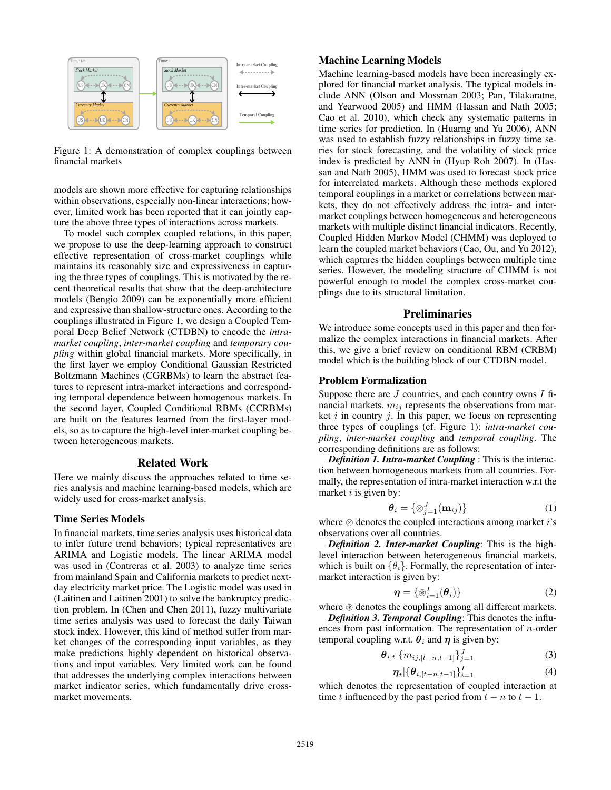

Figure 1: A demonstration of complex couplings between financial markets

models are shown more effective for capturing relationships within observations, especially non-linear interactions; however, limited work has been reported that it can jointly capture the above three types of interactions across markets.

To model such complex coupled relations, in this paper, we propose to use the deep-learning approach to construct effective representation of cross-market couplings while maintains its reasonably size and expressiveness in capturing the three types of couplings. This is motivated by the recent theoretical results that show that the deep-architecture models (Bengio 2009) can be exponentially more efficient and expressive than shallow-structure ones. According to the couplings illustrated in Figure 1, we design a Coupled Temporal Deep Belief Network (CTDBN) to encode the *intramarket coupling*, *inter-market coupling* and *temporary coupling* within global financial markets. More specifically, in the first layer we employ Conditional Gaussian Restricted Boltzmann Machines (CGRBMs) to learn the abstract features to represent intra-market interactions and corresponding temporal dependence between homogenous markets. In the second layer, Coupled Conditional RBMs (CCRBMs) are built on the features learned from the first-layer models, so as to capture the high-level inter-market coupling between heterogeneous markets.

## Related Work

Here we mainly discuss the approaches related to time series analysis and machine learning-based models, which are widely used for cross-market analysis.

#### Time Series Models

In financial markets, time series analysis uses historical data to infer future trend behaviors; typical representatives are ARIMA and Logistic models. The linear ARIMA model was used in (Contreras et al. 2003) to analyze time series from mainland Spain and California markets to predict nextday electricity market price. The Logistic model was used in (Laitinen and Laitinen 2001) to solve the bankruptcy prediction problem. In (Chen and Chen 2011), fuzzy multivariate time series analysis was used to forecast the daily Taiwan stock index. However, this kind of method suffer from market changes of the corresponding input variables, as they make predictions highly dependent on historical observations and input variables. Very limited work can be found that addresses the underlying complex interactions between market indicator series, which fundamentally drive crossmarket movements.

### Machine Learning Models

Machine learning-based models have been increasingly explored for financial market analysis. The typical models include ANN (Olson and Mossman 2003; Pan, Tilakaratne, and Yearwood 2005) and HMM (Hassan and Nath 2005; Cao et al. 2010), which check any systematic patterns in time series for prediction. In (Huarng and Yu 2006), ANN was used to establish fuzzy relationships in fuzzy time series for stock forecasting, and the volatility of stock price index is predicted by ANN in (Hyup Roh 2007). In (Hassan and Nath 2005), HMM was used to forecast stock price for interrelated markets. Although these methods explored temporal couplings in a market or correlations between markets, they do not effectively address the intra- and intermarket couplings between homogeneous and heterogeneous markets with multiple distinct financial indicators. Recently, Coupled Hidden Markov Model (CHMM) was deployed to learn the coupled market behaviors (Cao, Ou, and Yu 2012), which captures the hidden couplings between multiple time series. However, the modeling structure of CHMM is not powerful enough to model the complex cross-market couplings due to its structural limitation.

### **Preliminaries**

We introduce some concepts used in this paper and then formalize the complex interactions in financial markets. After this, we give a brief review on conditional RBM (CRBM) model which is the building block of our CTDBN model.

#### Problem Formalization

Suppose there are  $J$  countries, and each country owns  $I$  financial markets.  $m_{ij}$  represents the observations from market  $i$  in country  $j$ . In this paper, we focus on representing three types of couplings (cf. Figure 1): *intra-market coupling*, *inter-market coupling* and *temporal coupling*. The corresponding definitions are as follows:

*Definition 1. Intra-market Coupling* : This is the interaction between homogeneous markets from all countries. Formally, the representation of intra-market interaction w.r.t the market  $i$  is given by:

$$
\boldsymbol{\theta}_i = \{ \otimes_{j=1}^J (\mathbf{m}_{ij}) \} \tag{1}
$$

where  $\otimes$  denotes the coupled interactions among market *i*'s observations over all countries.

*Definition 2. Inter-market Coupling*: This is the highlevel interaction between heterogeneous financial markets, which is built on  $\{\theta_i\}$ . Formally, the representation of intermarket interaction is given by:

$$
\boldsymbol{\eta} = \{ \circledast_{i=1}^{I} (\boldsymbol{\theta}_{i}) \}
$$
 (2)

where  $\circledast$  denotes the couplings among all different markets. *Definition 3. Temporal Coupling*: This denotes the influences from past information. The representation of  $n$ -order temporal coupling w.r.t.  $\theta_i$  and  $\eta$  is given by:

$$
\theta_{i,t}|\{m_{ij,[t-n,t-1]}\}_{j=1}^J
$$
 (3)

$$
\eta_t | \{ \theta_{i,[t-n,t-1]} \}_{i=1}^I
$$
 (4)

which denotes the representation of coupled interaction at time t influenced by the past period from  $t - n$  to  $t - 1$ .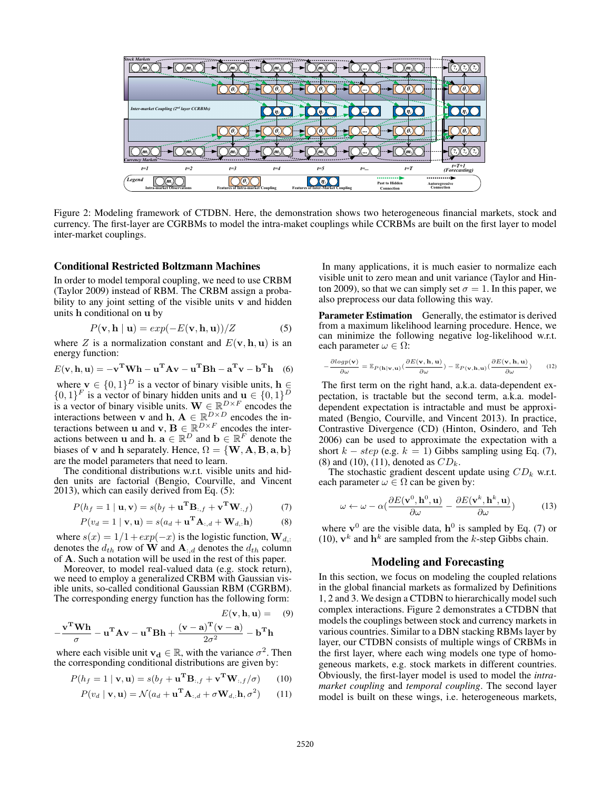

Figure 2: Modeling framework of CTDBN. Here, the demonstration shows two heterogeneous financial markets, stock and currency. The first-layer are CGRBMs to model the intra-maket couplings while CCRBMs are built on the first layer to model inter-market couplings.

#### Conditional Restricted Boltzmann Machines

In order to model temporal coupling, we need to use CRBM (Taylor 2009) instead of RBM. The CRBM assign a probability to any joint setting of the visible units  $\bf{v}$  and hidden units h conditional on u by

$$
P(\mathbf{v}, \mathbf{h} \mid \mathbf{u}) = exp(-E(\mathbf{v}, \mathbf{h}, \mathbf{u}))/Z
$$
 (5)

where Z is a normalization constant and  $E(\mathbf{v}, \mathbf{h}, \mathbf{u})$  is an energy function:

$$
E(\mathbf{v}, \mathbf{h}, \mathbf{u}) = -\mathbf{v}^{\mathrm{T}} \mathbf{W} \mathbf{h} - \mathbf{u}^{\mathrm{T}} \mathbf{A} \mathbf{v} - \mathbf{u}^{\mathrm{T}} \mathbf{B} \mathbf{h} - \mathbf{a}^{\mathrm{T}} \mathbf{v} - \mathbf{b}^{\mathrm{T}} \mathbf{h} \quad (6)
$$

where  $\mathbf{v} \in \{0,1\}^D$  is a vector of binary visible units,  $\mathbf{h} \in$  $\{0,1\}^F$  is a vector of binary hidden units and  $\mathbf{u} \in \{0,1\}^D$ is a vector of binary visible units.  $\mathbf{W} \in \mathbb{R}^{D \times F}$  encodes the interactions between v and h,  $A \in \mathbb{R}^{D \times D}$  encodes the interactions between **u** and **v**,  $\mathbf{B} \in \mathbb{R}^{D \times F}$  encodes the interactions between **u** and **h**.  $\mathbf{a} \in \mathbb{R}^D$  and  $\mathbf{b} \in \mathbb{R}^F$  denote the biases of v and h separately. Hence,  $\Omega = \{W, A, B, a, b\}$ are the model parameters that need to learn.

The conditional distributions w.r.t. visible units and hidden units are factorial (Bengio, Courville, and Vincent 2013), which can easily derived from Eq. (5):

$$
P(h_f = 1 | \mathbf{u}, \mathbf{v}) = s(b_f + \mathbf{u}^{\mathbf{T}} \mathbf{B}_{:,f} + \mathbf{v}^{\mathbf{T}} \mathbf{W}_{:,f})
$$
(7)

$$
P(v_d = 1 | \mathbf{v}, \mathbf{u}) = s(a_d + \mathbf{u}^{\mathbf{T}} \mathbf{A}_{:,d} + \mathbf{W}_{d,:} \mathbf{h})
$$
 (8)

where  $s(x) = 1/1 + exp(-x)$  is the logistic function,  $\mathbf{W}_{d,:}$ denotes the  $d_{th}$  row of **W** and  $\mathbf{A}_{:,d}$  denotes the  $d_{th}$  column of A. Such a notation will be used in the rest of this paper.

Moreover, to model real-valued data (e.g. stock return), we need to employ a generalized CRBM with Gaussian visible units, so-called conditional Gaussian RBM (CGRBM). The corresponding energy function has the following form:

$$
E(\mathbf{v}, \mathbf{h}, \mathbf{u}) = (9)
$$

$$
-\frac{\mathbf{v}^{\mathbf{T}}\mathbf{W}\mathbf{h}}{\sigma} - \mathbf{u}^{\mathbf{T}}\mathbf{A}\mathbf{v} - \mathbf{u}^{\mathbf{T}}\mathbf{B}\mathbf{h} + \frac{(\mathbf{v} - \mathbf{a})^{\mathbf{T}}(\mathbf{v} - \mathbf{a})}{2\sigma^2} - \mathbf{b}^{\mathbf{T}}\mathbf{h}
$$

where each visible unit  $v_d \in \mathbb{R}$ , with the variance  $\sigma^2$ . Then the corresponding conditional distributions are given by:

$$
P(h_f = 1 \mid \mathbf{v}, \mathbf{u}) = s(b_f + \mathbf{u}^{\mathbf{T}} \mathbf{B}_{:,f} + \mathbf{v}^{\mathbf{T}} \mathbf{W}_{:,f} / \sigma)
$$
(10)

$$
P(v_d | \mathbf{v}, \mathbf{u}) = \mathcal{N}(a_d + \mathbf{u}^{\mathbf{T}} \mathbf{A}_{:,d} + \sigma \mathbf{W}_{d,:} \mathbf{h}, \sigma^2)
$$
 (11)

In many applications, it is much easier to normalize each visible unit to zero mean and unit variance (Taylor and Hinton 2009), so that we can simply set  $\sigma = 1$ . In this paper, we also preprocess our data following this way.

**Parameter Estimation** Generally, the estimator is derived from a maximum likelihood learning procedure. Hence, we can minimize the following negative log-likelihood w.r.t. each parameter  $\omega \in \Omega$ :

$$
-\frac{\partial log p(\mathbf{v})}{\partial \omega} = \mathbb{E}_{P(\mathbf{h}|\mathbf{v},\mathbf{u})}(\frac{\partial E(\mathbf{v},\mathbf{h},\mathbf{u})}{\partial \omega}) - \mathbb{E}_{P(\mathbf{v},\mathbf{h},\mathbf{u})}(\frac{\partial E(\mathbf{v},\mathbf{h},\mathbf{u})}{\partial \omega})
$$
(12)

The first term on the right hand, a.k.a. data-dependent expectation, is tractable but the second term, a.k.a. modeldependent expectation is intractable and must be approximated (Bengio, Courville, and Vincent 2013). In practice, Contrastive Divergence (CD) (Hinton, Osindero, and Teh 2006) can be used to approximate the expectation with a short  $k - step$  (e.g.  $k = 1$ ) Gibbs sampling using Eq. (7), (8) and (10), (11), denoted as  $CD_k$ .

The stochastic gradient descent update using  $CD_k$  w.r.t. each parameter  $\omega \in \Omega$  can be given by:

$$
\omega \leftarrow \omega - \alpha \left( \frac{\partial E(\mathbf{v}^0, \mathbf{h}^0, \mathbf{u})}{\partial \omega} - \frac{\partial E(\mathbf{v}^k, \mathbf{h}^k, \mathbf{u})}{\partial \omega} \right) \tag{13}
$$

where  $\mathbf{v}^0$  are the visible data,  $\mathbf{h}^0$  is sampled by Eq. (7) or (10),  $\mathbf{v}^k$  and  $\mathbf{h}^k$  are sampled from the k-step Gibbs chain.

### Modeling and Forecasting

In this section, we focus on modeling the coupled relations in the global financial markets as formalized by Definitions 1, 2 and 3. We design a CTDBN to hierarchically model such complex interactions. Figure 2 demonstrates a CTDBN that models the couplings between stock and currency markets in various countries. Similar to a DBN stacking RBMs layer by layer, our CTDBN consists of multiple wings of CRBMs in the first layer, where each wing models one type of homogeneous markets, e.g. stock markets in different countries. Obviously, the first-layer model is used to model the *intramarket coupling* and *temporal coupling*. The second layer model is built on these wings, i.e. heterogeneous markets,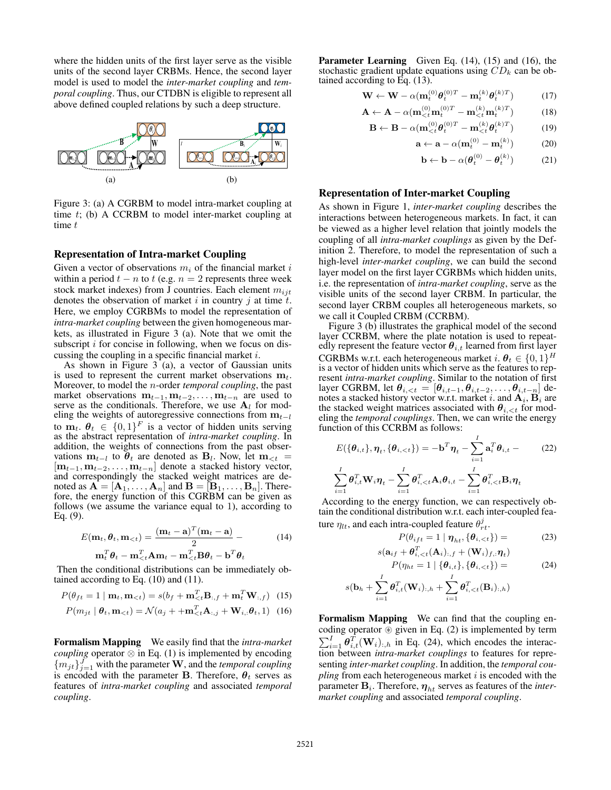where the hidden units of the first layer serve as the visible units of the second layer CRBMs. Hence, the second layer model is used to model the *inter-market coupling* and *temporal coupling*. Thus, our CTDBN is eligible to represent all above defined coupled relations by such a deep structure.



Figure 3: (a) A CGRBM to model intra-market coupling at time t; (b) A CCRBM to model inter-market coupling at time t

### Representation of Intra-market Coupling

Given a vector of observations  $m_i$  of the financial market i within a period  $t - n$  to  $t$  (e.g.  $n = 2$  represents three week stock market indexes) from J countries. Each element  $m_{ijt}$ denotes the observation of market i in country j at time  $t$ . Here, we employ CGRBMs to model the representation of *intra-market coupling* between the given homogeneous markets, as illustrated in Figure 3 (a). Note that we omit the subscript  $i$  for concise in following, when we focus on discussing the coupling in a specific financial market i.

As shown in Figure 3 (a), a vector of Gaussian units is used to represent the current market observations  $m_t$ . Moreover, to model the n-order *temporal coupling*, the past market observations  $m_{t-1}, m_{t-2}, \ldots, m_{t-n}$  are used to serve as the conditionals. Therefore, we use  $A_l$  for modeling the weights of autoregressive connections from  $m_{t-l}$ to  $\mathbf{m}_t$ .  $\boldsymbol{\theta}_t \in \{0,1\}^F$  is a vector of hidden units serving as the abstract representation of *intra-market coupling*. In addition, the weights of connections from the past observations  $\mathbf{m}_{t-l}$  to  $\theta_t$  are denoted as  $\mathbf{B}_l$ . Now, let  $\mathbf{m}_{\leq t}$  =  $[m_{t-1}, m_{t-2}, \ldots, m_{t-n}]$  denote a stacked history vector, and correspondingly the stacked weight matrices are denoted as  $A = [\mathbf{A}_1, \dots, \mathbf{A}_n]$  and  $\mathbf{B} = [\mathbf{B}_1, \dots, \mathbf{B}_n]$ . Therefore, the energy function of this CGRBM can be given as follows (we assume the variance equal to 1), according to Eq. (9).

$$
E(\mathbf{m}_t, \boldsymbol{\theta}_t, \mathbf{m}_{< t}) = \frac{(\mathbf{m}_t - \mathbf{a})^T (\mathbf{m}_t - \mathbf{a})}{2} - \mathbf{m}_t^T \boldsymbol{\theta}_t - \mathbf{m}_{< t}^T \mathbf{A} \mathbf{m}_t - \mathbf{m}_{< t}^T \mathbf{B} \boldsymbol{\theta}_t - \mathbf{b}^T \boldsymbol{\theta}_t
$$
 (14)

Then the conditional distributions can be immediately obtained according to Eq. (10) and (11).

$$
P(\theta_{ft} = 1 \mid \mathbf{m}_t, \mathbf{m}_{< t}) = s(b_f + \mathbf{m}_{< t}^T \mathbf{B}_{:,f} + \mathbf{m}_t^T \mathbf{W}_{:,f}) \tag{15}
$$

$$
P(m_{jt} | \boldsymbol{\theta}_t, \mathbf{m}_{< t}) = \mathcal{N}(a_j + + \mathbf{m}_{< t}^T \mathbf{A}_{:,j} + \mathbf{W}_{i,:} \boldsymbol{\theta}_t, 1) \tag{16}
$$

Formalism Mapping We easily find that the *intra-market coupling* operator  $\otimes$  in Eq. (1) is implemented by encoding  ${m_{jt}}_{j=1}^{J}$  with the parameter **W**, and the *temporal coupling* is encoded with the parameter **B**. Therefore,  $\theta_t$  serves as features of *intra-market coupling* and associated *temporal coupling*.

Parameter Learning Given Eq. (14), (15) and (16), the stochastic gradient update equations using  $CD_k$  can be obtained according to Eq. (13).

$$
\mathbf{W} \leftarrow \mathbf{W} - \alpha (\mathbf{m}_t^{(0)} \boldsymbol{\theta}_t^{(0)T} - \mathbf{m}_t^{(k)} \boldsymbol{\theta}_t^{(k)T})
$$
(17)

$$
\mathbf{A} \leftarrow \mathbf{A} - \alpha (\mathbf{m}_{\lt t}^{(0)} \mathbf{m}_t^{(0)T} - \mathbf{m}_{\lt t}^{(k)} \mathbf{m}_t^{(k)T}) \tag{18}
$$

$$
\mathbf{B} \leftarrow \mathbf{B} - \alpha (\mathbf{m}_{
$$

$$
\mathbf{a} \leftarrow \mathbf{a} - \alpha (\mathbf{m}_t^{(0)} - \mathbf{m}_t^{(k)}) \tag{20}
$$

$$
\mathbf{b} \leftarrow \mathbf{b} - \alpha (\boldsymbol{\theta}_t^{(0)} - \boldsymbol{\theta}_t^{(k)}) \tag{21}
$$

#### Representation of Inter-market Coupling

As shown in Figure 1, *inter-market coupling* describes the interactions between heterogeneous markets. In fact, it can be viewed as a higher level relation that jointly models the coupling of all *intra-market couplings* as given by the Definition 2. Therefore, to model the representation of such a high-level *inter-market coupling*, we can build the second layer model on the first layer CGRBMs which hidden units, i.e. the representation of *intra-market coupling*, serve as the visible units of the second layer CRBM. In particular, the second layer CRBM couples all heterogeneous markets, so we call it Coupled CRBM (CCRBM).

Figure 3 (b) illustrates the graphical model of the second layer CCRBM, where the plate notation is used to repeatedly represent the feature vector  $\theta_{i,t}$  learned from first layer CGRBMs w.r.t. each heterogeneous market  $i$ .  $\boldsymbol{\theta}_t \in \{0,1\}^H$ is a vector of hidden units which serve as the features to represent *intra-market coupling*. Similar to the notation of first layer CGRBM, let  $\bm{\theta}_{i,< t} = [\bm{\theta}_{i,t-1}, \bm{\theta}_{i,t-2}, \dots, \bm{\theta}_{i,t-n}]$  denotes a stacked history vector w.r.t. market i. and  $\mathbf{A}_i, \mathbf{B}_i$  are the stacked weight matrices associated with  $\theta_{i, \leq t}$  for modeling the *temporal couplings*. Then, we can write the energy function of this CCRBM as follows:

$$
E(\{\theta_{i,t}\}, \eta_t, \{\theta_{i,
$$
\sum_{i=1}^I \theta_{i,t}^T \mathbf{W}_i \eta_t - \sum_{i=1}^I \theta_{i,
$$
$$

According to the energy function, we can respectively obtain the conditional distribution w.r.t. each inter-coupled feature  $\eta_{lt}$ , and each intra-coupled feature  $\theta_{rt}^j$ .

$$
P(\theta_{ift} = 1 \mid \boldsymbol{\eta}_{ht}, \{\boldsymbol{\theta}_{i, < t}\}) = (23)
$$

$$
s(\mathbf{a}_{if} + \boldsymbol{\theta}_{i,  
\n
$$
P(\eta_{ht} = 1 | {\boldsymbol{\theta}_{i,t}}}, {\boldsymbol{\theta}_{i,
$$
$$

$$
s(\mathbf{b}_h+\sum_{i=1}^{I}\boldsymbol{\theta}_{i,t}^T(\mathbf{W}_i)_{:,h}+\sum_{i=1}^{I}\boldsymbol{\theta}_{i,
$$

Formalism Mapping We can find that the coupling encoding operator  $\circledast$  given in Eq. (2) is implemented by term  $\sum_{i=1}^{I} \theta_{i,t}^{T}(\mathbf{W}_i)_{:,h}$  in Eq. (24), which encodes the interaction between *intra-market couplings* to features for representing *inter-market coupling*. In addition, the *temporal cou* $pling$  from each heterogeneous market  $i$  is encoded with the parameter  $\mathbf{B}_i$ . Therefore,  $\boldsymbol{\eta}_{ht}$  serves as features of the *intermarket coupling* and associated *temporal coupling*.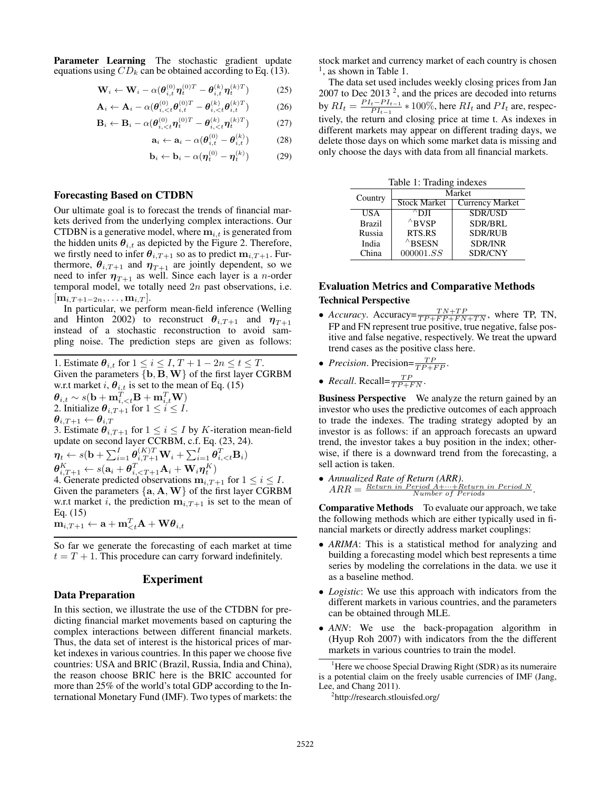Parameter Learning The stochastic gradient update equations using  $CD_k$  can be obtained according to Eq. (13).

$$
\mathbf{W}_i \leftarrow \mathbf{W}_i - \alpha (\boldsymbol{\theta}_{i,t}^{(0)} \boldsymbol{\eta}_t^{(0)T} - \boldsymbol{\theta}_{i,t}^{(k)} \boldsymbol{\eta}_t^{(k)T})
$$
(25)

$$
\mathbf{A}_{i} \leftarrow \mathbf{A}_{i} - \alpha (\boldsymbol{\theta}_{i,\langle\mathbf{z}\rangle}^{(0)} \boldsymbol{\theta}_{i,\langle\mathbf{z}\rangle}^{(0)T} - \boldsymbol{\theta}_{i,\langle\mathbf{z}\rangle}^{(k)} \boldsymbol{\theta}_{i,\mathbf{z}}^{(k)T})
$$
(26)

$$
\mathbf{B}_i \leftarrow \mathbf{B}_i - \alpha (\boldsymbol{\theta}_{i, < t}^{(0)} \boldsymbol{\eta}_t^{(0)T} - \boldsymbol{\theta}_{i, < t}^{(k)} \boldsymbol{\eta}_t^{(k)T})
$$
(27)

$$
\mathbf{a}_i \leftarrow \mathbf{a}_i - \alpha (\boldsymbol{\theta}_{i,t}^{(0)} - \boldsymbol{\theta}_{i,t}^{(k)}) \tag{28}
$$

$$
\mathbf{b}_i \leftarrow \mathbf{b}_i - \alpha (\boldsymbol{\eta}_t^{(0)} - \boldsymbol{\eta}_t^{(k)}) \tag{29}
$$

#### Forecasting Based on CTDBN

Our ultimate goal is to forecast the trends of financial markets derived from the underlying complex interactions. Our CTDBN is a generative model, where  $m_{i,t}$  is generated from the hidden units  $\theta_{i,t}$  as depicted by the Figure 2. Therefore, we firstly need to infer  $\theta_{i,T+1}$  so as to predict  $m_{i,T+1}$ . Furthermore,  $\theta_{i,T+1}$  and  $\eta_{T+1}$  are jointly dependent, so we need to infer  $\eta_{T+1}$  as well. Since each layer is a *n*-order temporal model, we totally need  $2n$  past observations, i.e.  $[\mathbf{m}_{i,T+1-2n},\ldots,\mathbf{m}_{i,T}].$ 

In particular, we perform mean-field inference (Welling and Hinton 2002) to reconstruct  $\theta_{i,T+1}$  and  $\eta_{T+1}$ instead of a stochastic reconstruction to avoid sampling noise. The prediction steps are given as follows:

1. Estimate  $\theta_{i,t}$  for  $1 \leq i \leq I$ ,  $T + 1 - 2n \leq t \leq T$ . Given the parameters  ${b, B, W}$  of the first layer CGRBM w.r.t market i,  $\theta_{i,t}$  is set to the mean of Eq. (15)  $\boldsymbol{\theta}_{i,t} \sim s(\mathbf{b} + \mathbf{m}_{i,$ 2. Initialize  $\theta_{i,T+1}$  for  $1 \leq i \leq I$ .  $\boldsymbol{\theta}_{i,T+1} \leftarrow \boldsymbol{\theta}_{i,T}$ 3. Estimate  $\theta_{i,T+1}$  for  $1 \leq i \leq I$  by K-iteration mean-field update on second layer CCRBM, c.f. Eq. (23, 24).  $\boldsymbol{\eta}_t \leftarrow s(\mathbf{b} + \sum_{i=1}^{I}\boldsymbol{\theta}_{i,T+1}^{(K)T}\mathbf{W}_i + \sum_{i=1}^{I}\boldsymbol{\theta}_{i,$  $\bm{\theta}_{i,T+1}^K \leftarrow s(\mathbf{a}_i + \bm{\theta}_{i, < T+1}^T \mathbf{A}_i + \mathbf{W}_i \bm{\eta}_t^K)$ 4. Generate predicted observations  $m_{i,T+1}$  for  $1 \leq i \leq I$ . Given the parameters  ${a, A, W}$  of the first layer CGRBM w.r.t market i, the prediction  $m_{i,T+1}$  is set to the mean of Eq. (15)  $\mathbf{m}_{i,T+1} \leftarrow \mathbf{a} + \mathbf{m}_{< t}^T \mathbf{A} + \mathbf{W} \boldsymbol{\theta}_{i,t}$ 

So far we generate the forecasting of each market at time  $t = T + 1$ . This procedure can carry forward indefinitely.

#### Experiment

#### Data Preparation

In this section, we illustrate the use of the CTDBN for predicting financial market movements based on capturing the complex interactions between different financial markets. Thus, the data set of interest is the historical prices of market indexes in various countries. In this paper we choose five countries: USA and BRIC (Brazil, Russia, India and China), the reason choose BRIC here is the BRIC accounted for more than 25% of the world's total GDP according to the International Monetary Fund (IMF). Two types of markets: the stock market and currency market of each country is chosen <sup>1</sup>, as shown in Table 1.

The data set used includes weekly closing prices from Jan 2007 to Dec 2013<sup>2</sup>, and the prices are decoded into returns by  $RI_t = \frac{PI_t - PI_{t-1}}{PI_{t-1}}$  $\frac{t-P_{t-1}}{P_{t-1}}*100\%$ , here  $RI_t$  and  $PI_t$  are, respectively, the return and closing price at time t. As indexes in different markets may appear on different trading days, we delete those days on which some market data is missing and only choose the days with data from all financial markets.

| Table 1: Trading indexes |                     |                 |  |  |  |  |  |  |
|--------------------------|---------------------|-----------------|--|--|--|--|--|--|
| Country                  | Market              |                 |  |  |  |  |  |  |
|                          | <b>Stock Market</b> | Currency Market |  |  |  |  |  |  |
| <b>USA</b>               | $^{\wedge}$ DJI     | <b>SDR/USD</b>  |  |  |  |  |  |  |
| <b>Brazil</b>            | $^{\wedge}$ BVSP    | <b>SDR/BRL</b>  |  |  |  |  |  |  |
| Russia                   | RTS.RS              | <b>SDR/RUB</b>  |  |  |  |  |  |  |
| India                    | $^{\wedge}$ BSESN   | <b>SDR/INR</b>  |  |  |  |  |  |  |
| China                    | 000001. SS          | <b>SDR/CNY</b>  |  |  |  |  |  |  |

## Evaluation Metrics and Comparative Methods Technical Perspective

- *Accuracy*. Accuracy= $\frac{TN+TP}{TP+FP+FN+TN}$ , where TP, TN, FP and FN represent true positive, true negative, false positive and false negative, respectively. We treat the upward trend cases as the positive class here.
- *Precision*. Precision= $\frac{TP}{TP+FP}$ .
- *Recall*. Recall= $\frac{TP}{TP + FN}$ .

Business Perspective We analyze the return gained by an investor who uses the predictive outcomes of each approach to trade the indexes. The trading strategy adopted by an investor is as follows: if an approach forecasts an upward trend, the investor takes a buy position in the index; otherwise, if there is a downward trend from the forecasting, a sell action is taken.

• *Annualized Rate of Return (ARR)*.  $ARR =$   $\frac{Return \; in \; Period \; A + \cdots + Return \; in \; Period \; N}{Number \; of \; Periods}$ .

Comparative Methods To evaluate our approach, we take the following methods which are either typically used in financial markets or directly address market couplings:

- *ARIMA*: This is a statistical method for analyzing and building a forecasting model which best represents a time series by modeling the correlations in the data. we use it as a baseline method.
- *Logistic*: We use this approach with indicators from the different markets in various countries, and the parameters can be obtained through MLE.
- *ANN*: We use the back-propagation algorithm in (Hyup Roh 2007) with indicators from the the different markets in various countries to train the model.

 $<sup>1</sup>$  Here we choose Special Drawing Right (SDR) as its numeraire</sup> is a potential claim on the freely usable currencies of IMF (Jang, Lee, and Chang 2011).

<sup>2</sup> http://research.stlouisfed.org/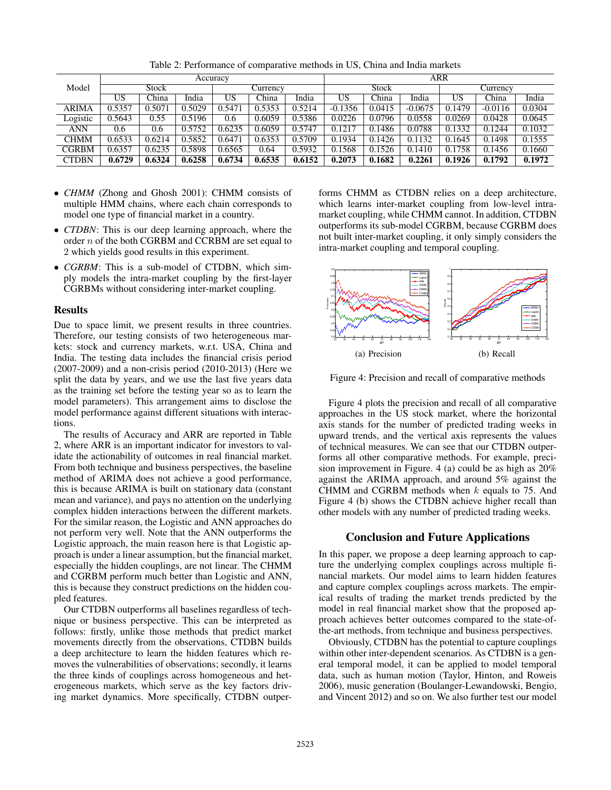|              | Accuracy     |        |        |          |        | ARR    |           |        |           |        |           |        |
|--------------|--------------|--------|--------|----------|--------|--------|-----------|--------|-----------|--------|-----------|--------|
| Model        | <b>Stock</b> |        |        | Currencv |        | Stock  |           |        | Currency  |        |           |        |
|              | US           | China  | India  | US       | China  | India  | US        | China  | India     | US     | China     | India  |
| <b>ARIMA</b> | 0.5357       | 0.5071 | 0.5029 | 0.5471   | 0.5353 | 0.5214 | $-0.1356$ | 0.0415 | $-0.0675$ | 0.1479 | $-0.0116$ | 0.0304 |
| Logistic     | 0.5643       | 0.55   | 0.5196 | 0.6      | 0.6059 | 0.5386 | 0.0226    | 0.0796 | 0.0558    | 0.0269 | 0.0428    | 0.0645 |
| <b>ANN</b>   | 0.6          | 0.6    | 0.5752 | 0.6235   | 0.6059 | 0.5747 | 0.1217    | 0.1486 | 0.0788    | 0.1332 | 0.1244    | 0.1032 |
| <b>CHMM</b>  | 0.6533       | 0.6214 | 0.5852 | 0.6471   | 0.6353 | 0.5709 | 0.1934    | 0.1426 | 0.1132    | 0.1645 | 0.1498    | 0.1555 |
| <b>CGRBM</b> | 0.6357       | 0.6235 | 0.5898 | 0.6565   | 0.64   | 0.5932 | 0.1568    | 0.1526 | 0.1410    | 0.1758 | 0.1456    | 0.1660 |
| <b>CTDBN</b> | 0.6729       | 0.6324 | 0.6258 | 0.6734   | 0.6535 | 0.6152 | 0.2073    | 0.1682 | 0.2261    | 0.1926 | 0.1792    | 0.1972 |

Table 2: Performance of comparative methods in US, China and India markets

- *CHMM* (Zhong and Ghosh 2001): CHMM consists of multiple HMM chains, where each chain corresponds to model one type of financial market in a country.
- *CTDBN*: This is our deep learning approach, where the order n of the both CGRBM and CCRBM are set equal to 2 which yields good results in this experiment.
- *CGRBM*: This is a sub-model of CTDBN, which simply models the intra-market coupling by the first-layer CGRBMs without considering inter-market coupling.

### Results

Due to space limit, we present results in three countries. Therefore, our testing consists of two heterogeneous markets: stock and currency markets, w.r.t. USA, China and India. The testing data includes the financial crisis period (2007-2009) and a non-crisis period (2010-2013) (Here we split the data by years, and we use the last five years data as the training set before the testing year so as to learn the model parameters). This arrangement aims to disclose the model performance against different situations with interactions.

The results of Accuracy and ARR are reported in Table 2, where ARR is an important indicator for investors to validate the actionability of outcomes in real financial market. From both technique and business perspectives, the baseline method of ARIMA does not achieve a good performance, this is because ARIMA is built on stationary data (constant mean and variance), and pays no attention on the underlying complex hidden interactions between the different markets. For the similar reason, the Logistic and ANN approaches do not perform very well. Note that the ANN outperforms the Logistic approach, the main reason here is that Logistic approach is under a linear assumption, but the financial market, especially the hidden couplings, are not linear. The CHMM and CGRBM perform much better than Logistic and ANN, this is because they construct predictions on the hidden coupled features.

Our CTDBN outperforms all baselines regardless of technique or business perspective. This can be interpreted as follows: firstly, unlike those methods that predict market movements directly from the observations, CTDBN builds a deep architecture to learn the hidden features which removes the vulnerabilities of observations; secondly, it learns the three kinds of couplings across homogeneous and heterogeneous markets, which serve as the key factors driving market dynamics. More specifically, CTDBN outperforms CHMM as CTDBN relies on a deep architecture, which learns inter-market coupling from low-level intramarket coupling, while CHMM cannot. In addition, CTDBN outperforms its sub-model CGRBM, because CGRBM does not built inter-market coupling, it only simply considers the intra-market coupling and temporal coupling.



Figure 4: Precision and recall of comparative methods

Figure 4 plots the precision and recall of all comparative approaches in the US stock market, where the horizontal axis stands for the number of predicted trading weeks in upward trends, and the vertical axis represents the values of technical measures. We can see that our CTDBN outperforms all other comparative methods. For example, precision improvement in Figure. 4 (a) could be as high as 20% against the ARIMA approach, and around 5% against the CHMM and CGRBM methods when  $k$  equals to 75. And Figure 4 (b) shows the CTDBN achieve higher recall than other models with any number of predicted trading weeks.

## Conclusion and Future Applications

In this paper, we propose a deep learning approach to capture the underlying complex couplings across multiple financial markets. Our model aims to learn hidden features and capture complex couplings across markets. The empirical results of trading the market trends predicted by the model in real financial market show that the proposed approach achieves better outcomes compared to the state-ofthe-art methods, from technique and business perspectives.

Obviously, CTDBN has the potential to capture couplings within other inter-dependent scenarios. As CTDBN is a general temporal model, it can be applied to model temporal data, such as human motion (Taylor, Hinton, and Roweis 2006), music generation (Boulanger-Lewandowski, Bengio, and Vincent 2012) and so on. We also further test our model